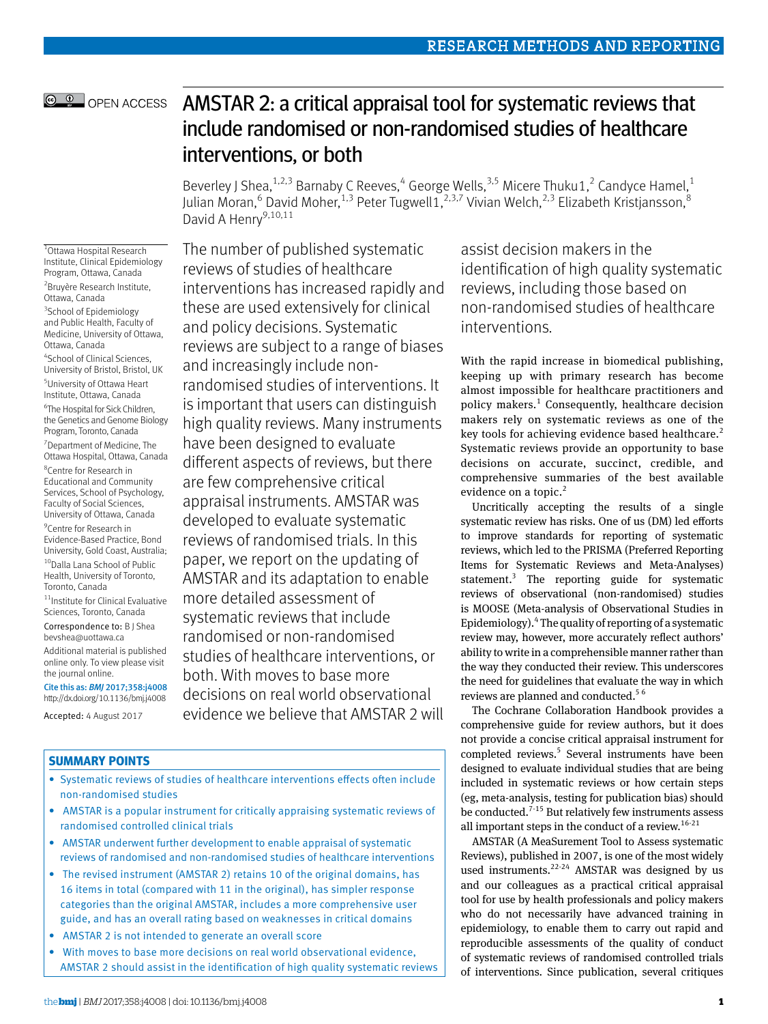## © <sup>0</sup> OPEN ACCESS

# AMSTAR 2: a critical appraisal tool for systematic reviews that include randomised or non-randomised studies of healthcare interventions, or both

Beverley J Shea,<sup>1,2,3</sup> Barnaby C Reeves,<sup>4</sup> George Wells,<sup>3,5</sup> Micere Thuku1,<sup>2</sup> Candyce Hamel,<sup>1</sup> Julian Moran,<sup>6</sup> David Moher,<sup>1,3</sup> Peter Tugwell1,<sup>2,3,7</sup> Vivian Welch,<sup>2,3</sup> Elizabeth Kristjansson,<sup>8</sup> David A Henry<sup>9,10,11</sup>

1 Ottawa Hospital Research Institute, Clinical Epidemiology Program, Ottawa, Canada 2 Bruyère Research Institute, Ottawa, Canada <sup>3</sup>School of Epidemiology and Public Health, Faculty of Medicine, University of Ottawa, Ottawa, Canada 4 School of Clinical Sciences, University of Bristol, Bristol, UK 5 University of Ottawa Heart Institute, Ottawa, Canada 6 The Hospital for Sick Children, the Genetics and Genome Biology Program, Toronto, Canada 7 Department of Medicine, The Ottawa Hospital, Ottawa, Canada 8 Centre for Research in Educational and Community Services, School of Psychology, Faculty of Social Sciences, University of Ottawa, Canada 9 Centre for Research in Evidence-Based Practice, Bond University, Gold Coast, Australia; 10 Dalla Lana School of Public Health, University of Toronto, Toronto, Canada 11Institute for Clinical Evaluative Sciences, Toronto, Canada

Correspondence to: B J Shea [bevshea@uottawa.ca](mailto:bevshea@uottawa.ca)

Additional material is published online only. To view please visit the journal online.

Cite this as: *BMJ* 2017;358:j4008 http://dx.doi.org/10.1136/bmj.j4008

Accepted: 4 August 2017

The number of published systematic reviews of studies of healthcare interventions has increased rapidly and these are used extensively for clinical and policy decisions. Systematic reviews are subject to a range of biases and increasingly include nonrandomised studies of interventions. It is important that users can distinguish high quality reviews. Many instruments have been designed to evaluate different aspects of reviews, but there are few comprehensive critical appraisal instruments. AMSTAR was developed to evaluate systematic reviews of randomised trials. In this paper, we report on the updating of AMSTAR and its adaptation to enable more detailed assessment of systematic reviews that include randomised or non-randomised studies of healthcare interventions, or both. With moves to base more decisions on real world observational evidence we believe that AMSTAR 2 will

## **Summary points**

- Systematic reviews of studies of healthcare interventions effects often include non-randomised studies
- AMSTAR is a popular instrument for critically appraising systematic reviews of randomised controlled clinical trials
- AMSTAR underwent further development to enable appraisal of systematic reviews of randomised and non-randomised studies of healthcare interventions
- The revised instrument (AMSTAR 2) retains 10 of the original domains, has 16 items in total (compared with 11 in the original), has simpler response categories than the original AMSTAR, includes a more comprehensive user guide, and has an overall rating based on weaknesses in critical domains
- AMSTAR 2 is not intended to generate an overall score
- With moves to base more decisions on real world observational evidence, AMSTAR 2 should assist in the identification of high quality systematic reviews

assist decision makers in the identification of high quality systematic reviews, including those based on non-randomised studies of healthcare interventions*.*

With the rapid increase in biomedical publishing, keeping up with primary research has become almost impossible for healthcare practitioners and policy makers.<sup>1</sup> Consequently, healthcare decision makers rely on systematic reviews as one of the key tools for achieving evidence based healthcare.<sup>2</sup> Systematic reviews provide an opportunity to base decisions on accurate, succinct, credible, and comprehensive summaries of the best available evidence on a topic. $2$ 

Uncritically accepting the results of a single systematic review has risks. One of us (DM) led efforts to improve standards for reporting of systematic reviews, which led to the PRISMA (Preferred Reporting Items for Systematic Reviews and Meta-Analyses) statement.<sup>3</sup> The reporting guide for systematic reviews of observational (non-randomised) studies is MOOSE (Meta-analysis of Observational Studies in Epidemiology).<sup>4</sup> The quality of reporting of a systematic review may, however, more accurately reflect authors' ability to write in a comprehensible manner rather than the way they conducted their review. This underscores the need for guidelines that evaluate the way in which reviews are planned and conducted.<sup>56</sup>

The Cochrane Collaboration Handbook provides a comprehensive guide for review authors, but it does not provide a concise critical appraisal instrument for completed reviews.<sup>5</sup> Several instruments have been designed to evaluate individual studies that are being included in systematic reviews or how certain steps (eg, meta-analysis, testing for publication bias) should be conducted.<sup> $7-15$ </sup> But relatively few instruments assess all important steps in the conduct of a review.<sup>16-21</sup>

AMSTAR (A MeaSurement Tool to Assess systematic Reviews), published in 2007, is one of the most widely used instruments.<sup>22-24</sup> AMSTAR was designed by us and our colleagues as a practical critical appraisal tool for use by health professionals and policy makers who do not necessarily have advanced training in epidemiology, to enable them to carry out rapid and reproducible assessments of the quality of conduct of systematic reviews of randomised controlled trials of interventions. Since publication, several critiques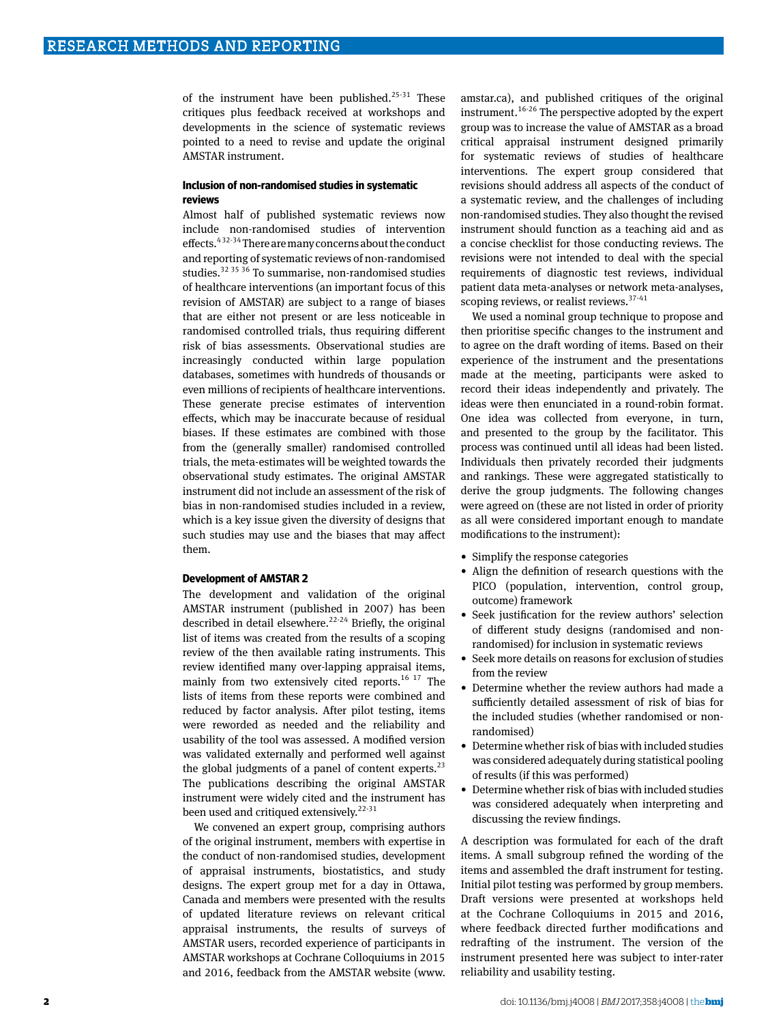of the instrument have been published.<sup>25-31</sup> These critiques plus feedback received at workshops and developments in the science of systematic reviews pointed to a need to revise and update the original AMSTAR instrument.

#### **Inclusion of non-randomised studies in systematic reviews**

Almost half of published systematic reviews now include non-randomised studies of intervention effects.4 32-34 There are many concerns about the conduct and reporting of systematic reviews of non-randomised studies.32 35 36 To summarise, non-randomised studies of healthcare interventions (an important focus of this revision of AMSTAR) are subject to a range of biases that are either not present or are less noticeable in randomised controlled trials, thus requiring different risk of bias assessments. Observational studies are increasingly conducted within large population databases, sometimes with hundreds of thousands or even millions of recipients of healthcare interventions. These generate precise estimates of intervention effects, which may be inaccurate because of residual biases. If these estimates are combined with those from the (generally smaller) randomised controlled trials, the meta-estimates will be weighted towards the observational study estimates. The original AMSTAR instrument did not include an assessment of the risk of bias in non-randomised studies included in a review, which is a key issue given the diversity of designs that such studies may use and the biases that may affect them.

#### **Development of AMSTAR 2**

The development and validation of the original AMSTAR instrument (published in 2007) has been described in detail elsewhere.<sup>22-24</sup> Briefly, the original list of items was created from the results of a scoping review of the then available rating instruments. This review identified many over-lapping appraisal items, mainly from two extensively cited reports.<sup>16 17</sup> The lists of items from these reports were combined and reduced by factor analysis. After pilot testing, items were reworded as needed and the reliability and usability of the tool was assessed. A modified version was validated externally and performed well against the global judgments of a panel of content experts. $^{23}$ The publications describing the original AMSTAR instrument were widely cited and the instrument has been used and critiqued extensively.<sup>22-31</sup>

We convened an expert group, comprising authors of the original instrument, members with expertise in the conduct of non-randomised studies, development of appraisal instruments, biostatistics, and study designs. The expert group met for a day in Ottawa, Canada and members were presented with the results of updated literature reviews on relevant critical appraisal instruments, the results of surveys of AMSTAR users, recorded experience of participants in AMSTAR workshops at Cochrane Colloquiums in 2015 and 2016, feedback from the AMSTAR website [\(www.](http://www.amstar.ca) [amstar.ca\)](http://www.amstar.ca), and published critiques of the original instrument.16-26 The perspective adopted by the expert group was to increase the value of AMSTAR as a broad critical appraisal instrument designed primarily for systematic reviews of studies of healthcare interventions. The expert group considered that revisions should address all aspects of the conduct of a systematic review, and the challenges of including non-randomised studies. They also thought the revised instrument should function as a teaching aid and as a concise checklist for those conducting reviews. The revisions were not intended to deal with the special requirements of diagnostic test reviews, individual patient data meta-analyses or network meta-analyses, scoping reviews, or realist reviews.<sup>37-41</sup>

We used a nominal group technique to propose and then prioritise specific changes to the instrument and to agree on the draft wording of items. Based on their experience of the instrument and the presentations made at the meeting, participants were asked to record their ideas independently and privately. The ideas were then enunciated in a round-robin format. One idea was collected from everyone, in turn, and presented to the group by the facilitator. This process was continued until all ideas had been listed. Individuals then privately recorded their judgments and rankings. These were aggregated statistically to derive the group judgments. The following changes were agreed on (these are not listed in order of priority as all were considered important enough to mandate modifications to the instrument):

- Simplify the response categories
- Align the definition of research questions with the PICO (population, intervention, control group, outcome) framework
- Seek justification for the review authors' selection of different study designs (randomised and nonrandomised) for inclusion in systematic reviews
- Seek more details on reasons for exclusion of studies from the review
- Determine whether the review authors had made a sufficiently detailed assessment of risk of bias for the included studies (whether randomised or nonrandomised)
- Determine whether risk of bias with included studies was considered adequately during statistical pooling of results (if this was performed)
- Determine whether risk of bias with included studies was considered adequately when interpreting and discussing the review findings.

A description was formulated for each of the draft items. A small subgroup refined the wording of the items and assembled the draft instrument for testing. Initial pilot testing was performed by group members. Draft versions were presented at workshops held at the Cochrane Colloquiums in 2015 and 2016, where feedback directed further modifications and redrafting of the instrument. The version of the instrument presented here was subject to inter-rater reliability and usability testing.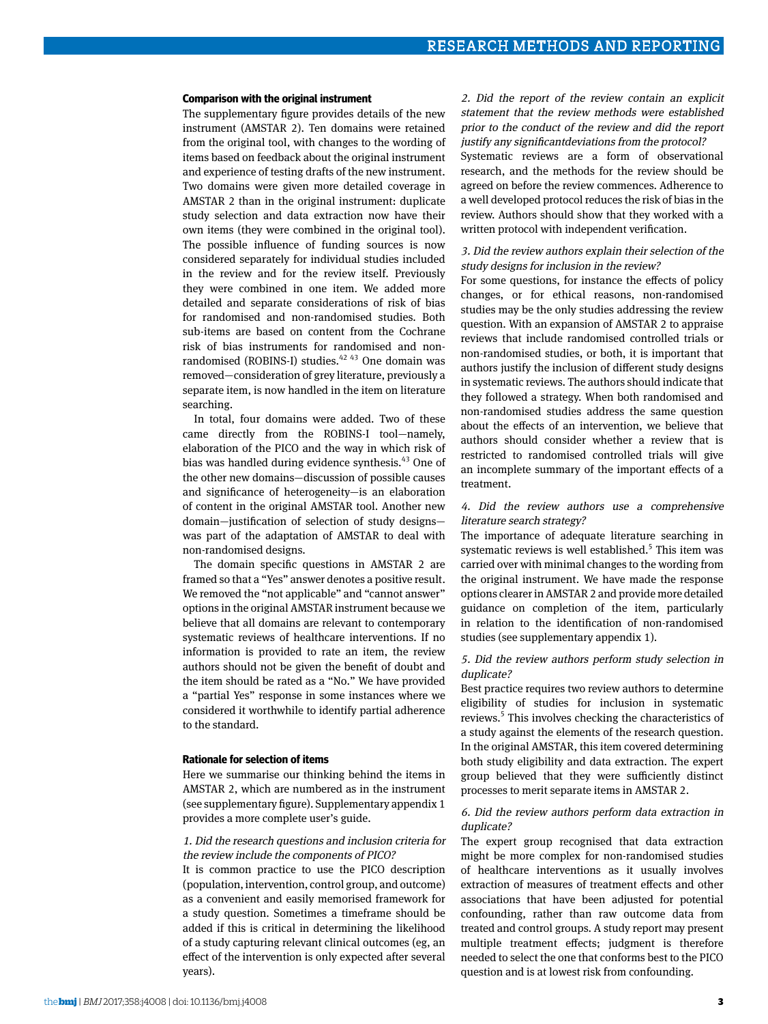#### **Comparison with the original instrument**

The supplementary figure provides details of the new instrument (AMSTAR 2). Ten domains were retained from the original tool, with changes to the wording of items based on feedback about the original instrument and experience of testing drafts of the new instrument. Two domains were given more detailed coverage in AMSTAR 2 than in the original instrument: duplicate study selection and data extraction now have their own items (they were combined in the original tool). The possible influence of funding sources is now considered separately for individual studies included in the review and for the review itself. Previously they were combined in one item. We added more detailed and separate considerations of risk of bias for randomised and non-randomised studies. Both sub-items are based on content from the Cochrane risk of bias instruments for randomised and nonrandomised (ROBINS-I) studies. $4243$  One domain was removed—consideration of grey literature, previously a separate item, is now handled in the item on literature searching.

In total, four domains were added. Two of these came directly from the ROBINS-I tool—namely, elaboration of the PICO and the way in which risk of bias was handled during evidence synthesis.<sup>43</sup> One of the other new domains—discussion of possible causes and significance of heterogeneity—is an elaboration of content in the original AMSTAR tool. Another new domain—justification of selection of study designs was part of the adaptation of AMSTAR to deal with non-randomised designs.

The domain specific questions in AMSTAR 2 are framed so that a "Yes" answer denotes a positive result. We removed the "not applicable" and "cannot answer" options in the original AMSTAR instrument because we believe that all domains are relevant to contemporary systematic reviews of healthcare interventions. If no information is provided to rate an item, the review authors should not be given the benefit of doubt and the item should be rated as a "No." We have provided a "partial Yes" response in some instances where we considered it worthwhile to identify partial adherence to the standard.

#### **Rationale for selection of items**

Here we summarise our thinking behind the items in AMSTAR 2, which are numbered as in the instrument (see supplementary figure). Supplementary appendix 1 provides a more complete user's guide.

## 1. Did the research questions and inclusion criteria for the review include the components of PICO?

It is common practice to use the PICO description (population, intervention, control group, and outcome) as a convenient and easily memorised framework for a study question. Sometimes a timeframe should be added if this is critical in determining the likelihood of a study capturing relevant clinical outcomes (eg, an effect of the intervention is only expected after several years).

2. Did the report of the review contain an explicit statement that the review methods were established prior to the conduct of the review and did the report justify any significantdeviations from the protocol?

Systematic reviews are a form of observational research, and the methods for the review should be agreed on before the review commences. Adherence to a well developed protocol reduces the risk of bias in the review. Authors should show that they worked with a written protocol with independent verification.

#### 3. Did the review authors explain their selection of the study designs for inclusion in the review?

For some questions, for instance the effects of policy changes, or for ethical reasons, non-randomised studies may be the only studies addressing the review question. With an expansion of AMSTAR 2 to appraise reviews that include randomised controlled trials or non-randomised studies, or both, it is important that authors justify the inclusion of different study designs in systematic reviews. The authors should indicate that they followed a strategy. When both randomised and non-randomised studies address the same question about the effects of an intervention, we believe that authors should consider whether a review that is restricted to randomised controlled trials will give an incomplete summary of the important effects of a treatment.

#### 4. Did the review authors use a comprehensive literature search strategy?

The importance of adequate literature searching in systematic reviews is well established.<sup>5</sup> This item was carried over with minimal changes to the wording from the original instrument. We have made the response options clearer in AMSTAR 2 and provide more detailed guidance on completion of the item, particularly in relation to the identification of non-randomised studies (see supplementary appendix 1).

#### 5. Did the review authors perform study selection in duplicate?

Best practice requires two review authors to determine eligibility of studies for inclusion in systematic reviews.<sup>5</sup> This involves checking the characteristics of a study against the elements of the research question. In the original AMSTAR, this item covered determining both study eligibility and data extraction. The expert group believed that they were sufficiently distinct processes to merit separate items in AMSTAR 2.

### 6. Did the review authors perform data extraction in duplicate?

The expert group recognised that data extraction might be more complex for non-randomised studies of healthcare interventions as it usually involves extraction of measures of treatment effects and other associations that have been adjusted for potential confounding, rather than raw outcome data from treated and control groups. A study report may present multiple treatment effects; judgment is therefore needed to select the one that conforms best to the PICO question and is at lowest risk from confounding.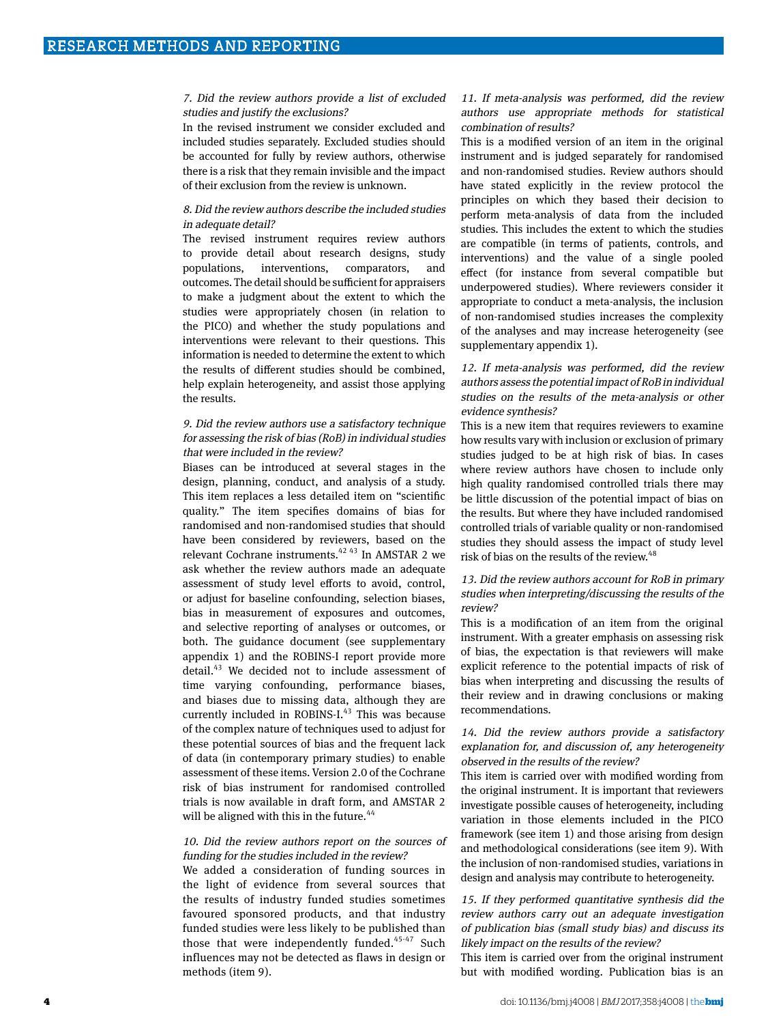### 7. Did the review authors provide a list of excluded studies and justify the exclusions?

In the revised instrument we consider excluded and included studies separately. Excluded studies should be accounted for fully by review authors, otherwise there is a risk that they remain invisible and the impact of their exclusion from the review is unknown.

#### 8. Did the review authors describe the included studies in adequate detail?

The revised instrument requires review authors to provide detail about research designs, study populations, interventions, comparators, and outcomes. The detail should be sufficient for appraisers to make a judgment about the extent to which the studies were appropriately chosen (in relation to the PICO) and whether the study populations and interventions were relevant to their questions. This information is needed to determine the extent to which the results of different studies should be combined, help explain heterogeneity, and assist those applying the results.

## 9. Did the review authors use a satisfactory technique for assessing the risk of bias (RoB) in individual studies that were included in the review?

Biases can be introduced at several stages in the design, planning, conduct, and analysis of a study. This item replaces a less detailed item on "scientific quality." The item specifies domains of bias for randomised and non-randomised studies that should have been considered by reviewers, based on the relevant Cochrane instruments.<sup>42 43</sup> In AMSTAR 2 we ask whether the review authors made an adequate assessment of study level efforts to avoid, control, or adjust for baseline confounding, selection biases, bias in measurement of exposures and outcomes, and selective reporting of analyses or outcomes, or both. The guidance document (see supplementary appendix 1) and the ROBINS-I report provide more detail.43 We decided not to include assessment of time varying confounding, performance biases, and biases due to missing data, although they are currently included in ROBINS-I. $43$  This was because of the complex nature of techniques used to adjust for these potential sources of bias and the frequent lack of data (in contemporary primary studies) to enable assessment of these items. Version 2.0 of the Cochrane risk of bias instrument for randomised controlled trials is now available in draft form, and AMSTAR 2 will be aligned with this in the future. $44$ 

## 10. Did the review authors report on the sources of funding for the studies included in the review?

We added a consideration of funding sources in the light of evidence from several sources that the results of industry funded studies sometimes favoured sponsored products, and that industry funded studies were less likely to be published than those that were independently funded. $45-47$  Such influences may not be detected as flaws in design or methods (item 9).

### 11. If meta-analysis was performed, did the review authors use appropriate methods for statistical combination of results?

This is a modified version of an item in the original instrument and is judged separately for randomised and non-randomised studies. Review authors should have stated explicitly in the review protocol the principles on which they based their decision to perform meta-analysis of data from the included studies. This includes the extent to which the studies are compatible (in terms of patients, controls, and interventions) and the value of a single pooled effect (for instance from several compatible but underpowered studies). Where reviewers consider it appropriate to conduct a meta-analysis, the inclusion of non-randomised studies increases the complexity of the analyses and may increase heterogeneity (see supplementary appendix 1).

## 12. If meta-analysis was performed, did the review authors assess the potential impact of RoB in individual studies on the results of the meta-analysis or other evidence synthesis?

This is a new item that requires reviewers to examine how results vary with inclusion or exclusion of primary studies judged to be at high risk of bias. In cases where review authors have chosen to include only high quality randomised controlled trials there may be little discussion of the potential impact of bias on the results. But where they have included randomised controlled trials of variable quality or non-randomised studies they should assess the impact of study level risk of bias on the results of the review.<sup>48</sup>

#### 13. Did the review authors account for RoB in primary studies when interpreting/discussing the results of the review?

This is a modification of an item from the original instrument. With a greater emphasis on assessing risk of bias, the expectation is that reviewers will make explicit reference to the potential impacts of risk of bias when interpreting and discussing the results of their review and in drawing conclusions or making recommendations.

## 14. Did the review authors provide a satisfactory explanation for, and discussion of, any heterogeneity observed in the results of the review?

This item is carried over with modified wording from the original instrument. It is important that reviewers investigate possible causes of heterogeneity, including variation in those elements included in the PICO framework (see item 1) and those arising from design and methodological considerations (see item 9). With the inclusion of non-randomised studies, variations in design and analysis may contribute to heterogeneity.

## 15. If they performed quantitative synthesis did the review authors carry out an adequate investigation of publication bias (small study bias) and discuss its likely impact on the results of the review?

This item is carried over from the original instrument but with modified wording. Publication bias is an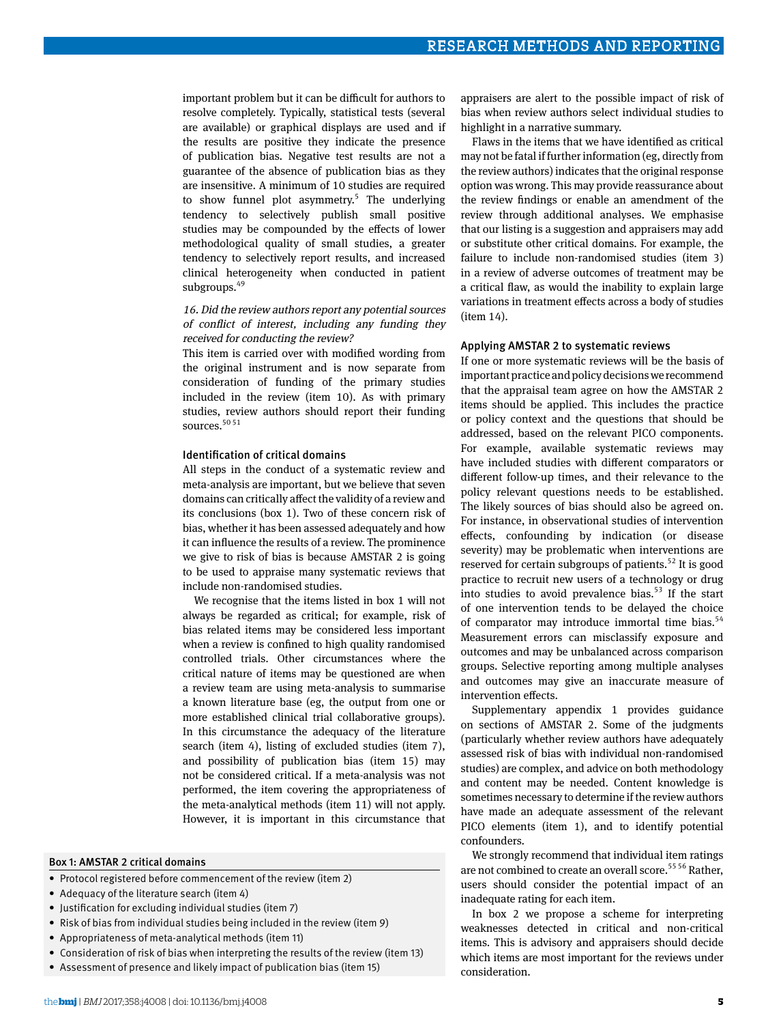important problem but it can be difficult for authors to resolve completely. Typically, statistical tests (several are available) or graphical displays are used and if the results are positive they indicate the presence of publication bias. Negative test results are not a guarantee of the absence of publication bias as they are insensitive. A minimum of 10 studies are required to show funnel plot asymmetry.<sup>5</sup> The underlying tendency to selectively publish small positive studies may be compounded by the effects of lower methodological quality of small studies, a greater tendency to selectively report results, and increased clinical heterogeneity when conducted in patient subgroups.<sup>49</sup>

## 16. Did the review authors report any potential sources of conflict of interest, including any funding they received for conducting the review?

This item is carried over with modified wording from the original instrument and is now separate from consideration of funding of the primary studies included in the review (item 10). As with primary studies, review authors should report their funding sources.<sup>50 51</sup>

#### Identification of critical domains

All steps in the conduct of a systematic review and meta-analysis are important, but we believe that seven domains can critically affect the validity of a review and its conclusions (box 1). Two of these concern risk of bias, whether it has been assessed adequately and how it can influence the results of a review. The prominence we give to risk of bias is because AMSTAR 2 is going to be used to appraise many systematic reviews that include non-randomised studies.

We recognise that the items listed in box 1 will not always be regarded as critical; for example, risk of bias related items may be considered less important when a review is confined to high quality randomised controlled trials. Other circumstances where the critical nature of items may be questioned are when a review team are using meta-analysis to summarise a known literature base (eg, the output from one or more established clinical trial collaborative groups). In this circumstance the adequacy of the literature search (item 4), listing of excluded studies (item 7), and possibility of publication bias (item 15) may not be considered critical. If a meta-analysis was not performed, the item covering the appropriateness of the meta-analytical methods (item 11) will not apply. However, it is important in this circumstance that

#### Box 1: AMSTAR 2 critical domains

- Protocol registered before commencement of the review (item 2)
- Adequacy of the literature search (item 4)
- Justification for excluding individual studies (item 7)
- Risk of bias from individual studies being included in the review (item 9)
- Appropriateness of meta-analytical methods (item 11)
- Consideration of risk of bias when interpreting the results of the review (item 13)
- Assessment of presence and likely impact of publication bias (item 15)

appraisers are alert to the possible impact of risk of bias when review authors select individual studies to highlight in a narrative summary.

Flaws in the items that we have identified as critical may not be fatal if further information (eg, directly from the review authors) indicates that the original response option was wrong. This may provide reassurance about the review findings or enable an amendment of the review through additional analyses. We emphasise that our listing is a suggestion and appraisers may add or substitute other critical domains. For example, the failure to include non-randomised studies (item 3) in a review of adverse outcomes of treatment may be a critical flaw, as would the inability to explain large variations in treatment effects across a body of studies (item 14).

#### Applying AMSTAR 2 to systematic reviews

If one or more systematic reviews will be the basis of important practice and policy decisions we recommend that the appraisal team agree on how the AMSTAR 2 items should be applied. This includes the practice or policy context and the questions that should be addressed, based on the relevant PICO components. For example, available systematic reviews may have included studies with different comparators or different follow-up times, and their relevance to the policy relevant questions needs to be established. The likely sources of bias should also be agreed on. For instance, in observational studies of intervention effects, confounding by indication (or disease severity) may be problematic when interventions are reserved for certain subgroups of patients.<sup>52</sup> It is good practice to recruit new users of a technology or drug into studies to avoid prevalence bias. $53$  If the start of one intervention tends to be delayed the choice of comparator may introduce immortal time bias. $54$ Measurement errors can misclassify exposure and outcomes and may be unbalanced across comparison groups. Selective reporting among multiple analyses and outcomes may give an inaccurate measure of intervention effects.

Supplementary appendix 1 provides guidance on sections of AMSTAR 2. Some of the judgments (particularly whether review authors have adequately assessed risk of bias with individual non-randomised studies) are complex, and advice on both methodology and content may be needed. Content knowledge is sometimes necessary to determine if the review authors have made an adequate assessment of the relevant PICO elements (item 1), and to identify potential confounders.

We strongly recommend that individual item ratings are not combined to create an overall score.<sup>55 56</sup> Rather, users should consider the potential impact of an inadequate rating for each item.

In box 2 we propose a scheme for interpreting weaknesses detected in critical and non-critical items. This is advisory and appraisers should decide which items are most important for the reviews under consideration.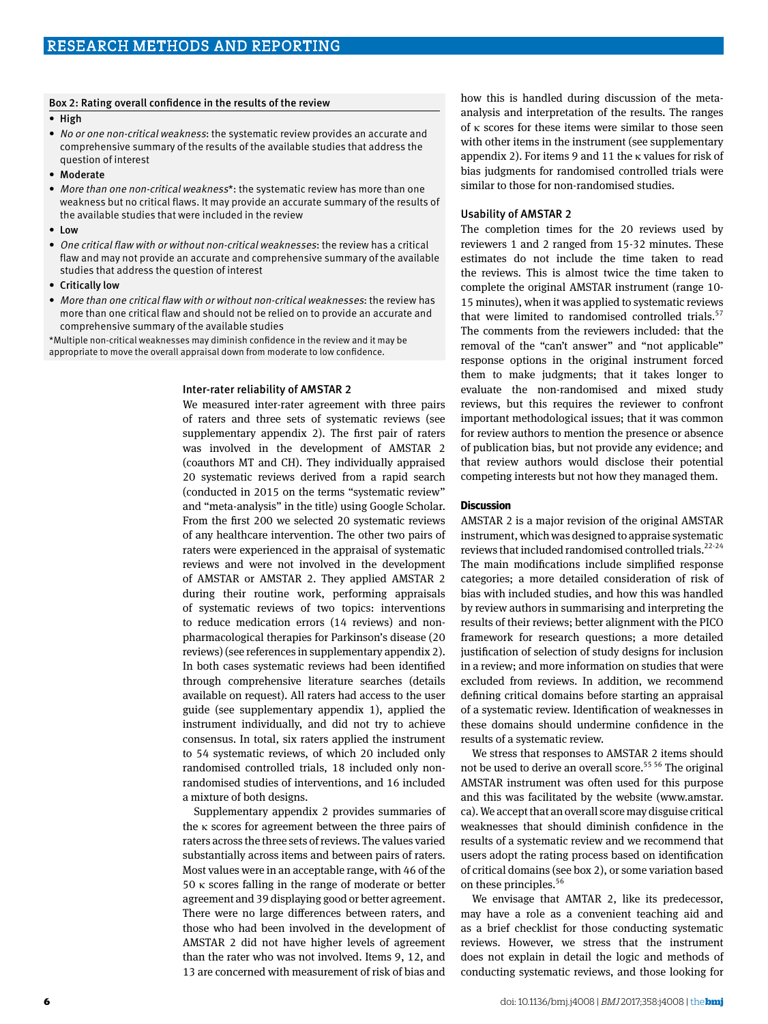#### Box 2: Rating overall confidence in the results of the review

- High
- No or one non-critical weakness: the systematic review provides an accurate and comprehensive summary of the results of the available studies that address the question of interest
- Moderate
- More than one non-critical weakness\*: the systematic review has more than one weakness but no critical flaws. It may provide an accurate summary of the results of the available studies that were included in the review
- Low
- One critical flaw with or without non-critical weaknesses: the review has a critical flaw and may not provide an accurate and comprehensive summary of the available studies that address the question of interest
- Critically low
- More than one critical flaw with or without non-critical weaknesses: the review has more than one critical flaw and should not be relied on to provide an accurate and comprehensive summary of the available studies

\*Multiple non-critical weaknesses may diminish confidence in the review and it may be appropriate to move the overall appraisal down from moderate to low confidence.

#### Inter-rater reliability of AMSTAR 2

We measured inter-rater agreement with three pairs of raters and three sets of systematic reviews (see supplementary appendix 2). The first pair of raters was involved in the development of AMSTAR 2 (coauthors MT and CH). They individually appraised 20 systematic reviews derived from a rapid search (conducted in 2015 on the terms "systematic review" and "meta-analysis" in the title) using Google Scholar. From the first 200 we selected 20 systematic reviews of any healthcare intervention. The other two pairs of raters were experienced in the appraisal of systematic reviews and were not involved in the development of AMSTAR or AMSTAR 2. They applied AMSTAR 2 during their routine work, performing appraisals of systematic reviews of two topics: interventions to reduce medication errors (14 reviews) and nonpharmacological therapies for Parkinson's disease (20 reviews) (see references in supplementary appendix 2). In both cases systematic reviews had been identified through comprehensive literature searches (details available on request). All raters had access to the user guide (see supplementary appendix 1), applied the instrument individually, and did not try to achieve consensus. In total, six raters applied the instrument to 54 systematic reviews, of which 20 included only randomised controlled trials, 18 included only nonrandomised studies of interventions, and 16 included a mixture of both designs.

Supplementary appendix 2 provides summaries of the κ scores for agreement between the three pairs of raters across the three sets of reviews. The values varied substantially across items and between pairs of raters. Most values were in an acceptable range, with 46 of the 50 κ scores falling in the range of moderate or better agreement and 39 displaying good or better agreement. There were no large differences between raters, and those who had been involved in the development of AMSTAR 2 did not have higher levels of agreement than the rater who was not involved. Items 9, 12, and 13 are concerned with measurement of risk of bias and

how this is handled during discussion of the metaanalysis and interpretation of the results. The ranges of κ scores for these items were similar to those seen with other items in the instrument (see supplementary appendix 2). For items 9 and 11 the κ values for risk of bias judgments for randomised controlled trials were similar to those for non-randomised studies.

#### Usability of AMSTAR 2

The completion times for the 20 reviews used by reviewers 1 and 2 ranged from 15-32 minutes. These estimates do not include the time taken to read the reviews. This is almost twice the time taken to complete the original AMSTAR instrument (range 10- 15 minutes), when it was applied to systematic reviews that were limited to randomised controlled trials. $57$ The comments from the reviewers included: that the removal of the "can't answer" and "not applicable" response options in the original instrument forced them to make judgments; that it takes longer to evaluate the non-randomised and mixed study reviews, but this requires the reviewer to confront important methodological issues; that it was common for review authors to mention the presence or absence of publication bias, but not provide any evidence; and that review authors would disclose their potential competing interests but not how they managed them.

#### **Discussion**

AMSTAR 2 is a major revision of the original AMSTAR instrument, which was designed to appraise systematic reviews that included randomised controlled trials.<sup>22-24</sup> The main modifications include simplified response categories; a more detailed consideration of risk of bias with included studies, and how this was handled by review authors in summarising and interpreting the results of their reviews; better alignment with the PICO framework for research questions; a more detailed justification of selection of study designs for inclusion in a review; and more information on studies that were excluded from reviews. In addition, we recommend defining critical domains before starting an appraisal of a systematic review. Identification of weaknesses in these domains should undermine confidence in the results of a systematic review.

We stress that responses to AMSTAR 2 items should not be used to derive an overall score.<sup>55 56</sup> The original AMSTAR instrument was often used for this purpose and this was facilitated by the website [\(www.amstar.](http://www.amstar.ca) [ca\)](http://www.amstar.ca). We accept that an overall score may disguise critical weaknesses that should diminish confidence in the results of a systematic review and we recommend that users adopt the rating process based on identification of critical domains (see box 2), or some variation based on these principles.<sup>56</sup>

We envisage that AMTAR 2, like its predecessor, may have a role as a convenient teaching aid and as a brief checklist for those conducting systematic reviews. However, we stress that the instrument does not explain in detail the logic and methods of conducting systematic reviews, and those looking for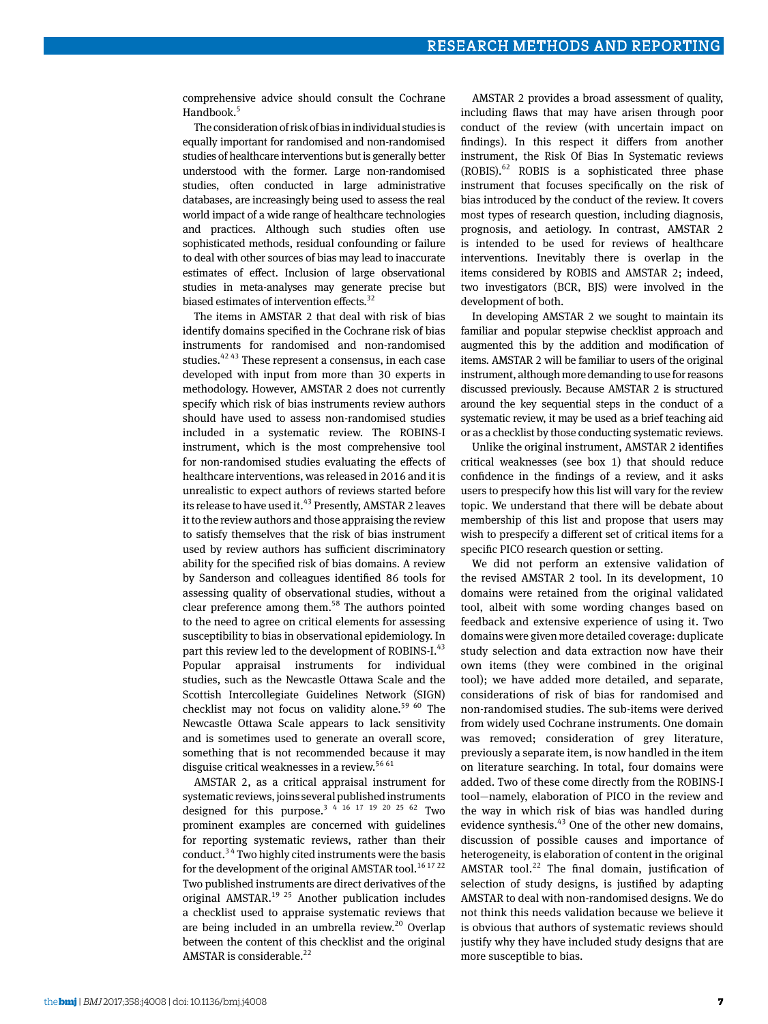comprehensive advice should consult the Cochrane Handbook.<sup>5</sup>

The consideration of risk of bias in individual studies is equally important for randomised and non-randomised studies of healthcare interventions but is generally better understood with the former. Large non-randomised studies, often conducted in large administrative databases, are increasingly being used to assess the real world impact of a wide range of healthcare technologies and practices. Although such studies often use sophisticated methods, residual confounding or failure to deal with other sources of bias may lead to inaccurate estimates of effect. Inclusion of large observational studies in meta-analyses may generate precise but biased estimates of intervention effects.<sup>32</sup>

The items in AMSTAR 2 that deal with risk of bias identify domains specified in the Cochrane risk of bias instruments for randomised and non-randomised studies.<sup>42 43</sup> These represent a consensus, in each case developed with input from more than 30 experts in methodology. However, AMSTAR 2 does not currently specify which risk of bias instruments review authors should have used to assess non-randomised studies included in a systematic review. The ROBINS-I instrument, which is the most comprehensive tool for non-randomised studies evaluating the effects of healthcare interventions, was released in 2016 and it is unrealistic to expect authors of reviews started before its release to have used it.<sup>43</sup> Presently, AMSTAR 2 leaves it to the review authors and those appraising the review to satisfy themselves that the risk of bias instrument used by review authors has sufficient discriminatory ability for the specified risk of bias domains. A review by Sanderson and colleagues identified 86 tools for assessing quality of observational studies, without a clear preference among them. $58$  The authors pointed to the need to agree on critical elements for assessing susceptibility to bias in observational epidemiology. In part this review led to the development of ROBINS-I.<sup>43</sup> Popular appraisal instruments for individual studies, such as the Newcastle Ottawa Scale and the Scottish Intercollegiate Guidelines Network (SIGN) checklist may not focus on validity alone.<sup>59 60</sup> The Newcastle Ottawa Scale appears to lack sensitivity and is sometimes used to generate an overall score, something that is not recommended because it may disguise critical weaknesses in a review.<sup>56 61</sup>

AMSTAR 2, as a critical appraisal instrument for systematic reviews, joins several published instruments designed for this purpose.<sup>3 4 16 17 19 20 25 62</sup> Two prominent examples are concerned with guidelines for reporting systematic reviews, rather than their conduct.3 4 Two highly cited instruments were the basis for the development of the original AMSTAR tool.<sup>16 17 22</sup> Two published instruments are direct derivatives of the original AMSTAR.<sup>19 25</sup> Another publication includes a checklist used to appraise systematic reviews that are being included in an umbrella review. $20$  Overlap between the content of this checklist and the original AMSTAR is considerable. $^{22}$ 

AMSTAR 2 provides a broad assessment of quality, including flaws that may have arisen through poor conduct of the review (with uncertain impact on findings). In this respect it differs from another instrument, the Risk Of Bias In Systematic reviews  $(ROBIS)$ .<sup>62</sup> ROBIS is a sophisticated three phase instrument that focuses specifically on the risk of bias introduced by the conduct of the review. It covers most types of research question, including diagnosis, prognosis, and aetiology. In contrast, AMSTAR 2 is intended to be used for reviews of healthcare interventions. Inevitably there is overlap in the items considered by ROBIS and AMSTAR 2; indeed, two investigators (BCR, BJS) were involved in the development of both.

In developing AMSTAR 2 we sought to maintain its familiar and popular stepwise checklist approach and augmented this by the addition and modification of items. AMSTAR 2 will be familiar to users of the original instrument, although more demanding to use for reasons discussed previously. Because AMSTAR 2 is structured around the key sequential steps in the conduct of a systematic review, it may be used as a brief teaching aid or as a checklist by those conducting systematic reviews.

Unlike the original instrument, AMSTAR 2 identifies critical weaknesses (see box 1) that should reduce confidence in the findings of a review, and it asks users to prespecify how this list will vary for the review topic. We understand that there will be debate about membership of this list and propose that users may wish to prespecify a different set of critical items for a specific PICO research question or setting.

We did not perform an extensive validation of the revised AMSTAR 2 tool. In its development, 10 domains were retained from the original validated tool, albeit with some wording changes based on feedback and extensive experience of using it. Two domains were given more detailed coverage: duplicate study selection and data extraction now have their own items (they were combined in the original tool); we have added more detailed, and separate, considerations of risk of bias for randomised and non-randomised studies. The sub-items were derived from widely used Cochrane instruments. One domain was removed; consideration of grey literature, previously a separate item, is now handled in the item on literature searching. In total, four domains were added. Two of these come directly from the ROBINS-I tool—namely, elaboration of PICO in the review and the way in which risk of bias was handled during evidence synthesis. $43$  One of the other new domains, discussion of possible causes and importance of heterogeneity, is elaboration of content in the original AMSTAR tool.<sup>22</sup> The final domain, justification of selection of study designs, is justified by adapting AMSTAR to deal with non-randomised designs. We do not think this needs validation because we believe it is obvious that authors of systematic reviews should justify why they have included study designs that are more susceptible to bias.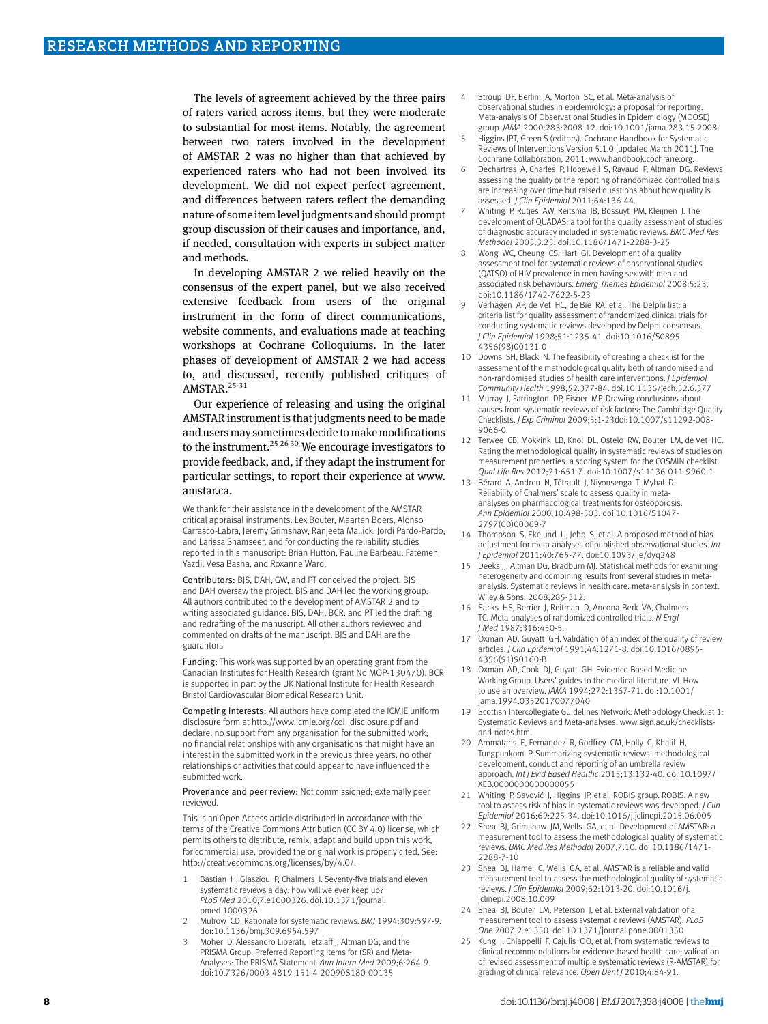The levels of agreement achieved by the three pairs of raters varied across items, but they were moderate to substantial for most items. Notably, the agreement between two raters involved in the development of AMSTAR 2 was no higher than that achieved by experienced raters who had not been involved its development. We did not expect perfect agreement, and differences between raters reflect the demanding nature of some item level judgments and should prompt group discussion of their causes and importance, and, if needed, consultation with experts in subject matter and methods.

In developing AMSTAR 2 we relied heavily on the consensus of the expert panel, but we also received extensive feedback from users of the original instrument in the form of direct communications, website comments, and evaluations made at teaching workshops at Cochrane Colloquiums. In the later phases of development of AMSTAR 2 we had access to, and discussed, recently published critiques of AMSTAR.<sup>25-31</sup>

Our experience of releasing and using the original AMSTAR instrument is that judgments need to be made and users may sometimes decide to make modifications to the instrument.<sup>25,26,30</sup> We encourage investigators to provide feedback, and, if they adapt the instrument for particular settings, to report their experience at [www.](http://www.amstar.ca) [amstar.ca.](http://www.amstar.ca)

We thank for their assistance in the development of the AMSTAR critical appraisal instruments: Lex Bouter, Maarten Boers, Alonso Carrasco-Labra, Jeremy Grimshaw, Ranjeeta Mallick, Jordi Pardo-Pardo, and Larissa Shamseer, and for conducting the reliability studies reported in this manuscript: Brian Hutton, Pauline Barbeau, Fatemeh Yazdi, Vesa Basha, and Roxanne Ward.

Contributors: BJS, DAH, GW, and PT conceived the project. BJS and DAH oversaw the project. BJS and DAH led the working group. All authors contributed to the development of AMSTAR 2 and to writing associated guidance. BJS, DAH, BCR, and PT led the drafting and redrafting of the manuscript. All other authors reviewed and commented on drafts of the manuscript. BJS and DAH are the guarantors

Funding: This work was supported by an operating grant from the Canadian Institutes for Health Research (grant No MOP-130470). BCR is supported in part by the UK National Institute for Health Research Bristol Cardiovascular Biomedical Research Unit.

Competing interests: All authors have completed the ICMJE uniform disclosure form at [http://www.icmje.org/coi\\_disclosure.pdf](http://www.icmje.org/coi_disclosure.pdf) and declare: no support from any organisation for the submitted work; no financial relationships with any organisations that might have an interest in the submitted work in the previous three years, no other relationships or activities that could appear to have influenced the submitted work.

Provenance and peer review: Not commissioned; externally peer reviewed.

This is an Open Access article distributed in accordance with the terms of the Creative Commons Attribution (CC BY 4.0) license, which permits others to distribute, remix, adapt and build upon this work, for commercial use, provided the original work is properly cited. See: http://creativecommons.org/licenses/by/4.0/.

- Bastian H, Glasziou P, Chalmers I. Seventy-five trials and eleven systematic reviews a day: how will we ever keep up? *PLoS Med* 2010;7:e1000326. doi:10.1371/journal. pmed.1000326
- 2 Mulrow CD. Rationale for systematic reviews. *BMJ* 1994;309:597-9. doi:10.1136/bmj.309.6954.597
- Moher D. Alessandro Liberati, Tetzlaff J, Altman DG, and the PRISMA Group. Preferred Reporting Items for (SR) and Meta-Analyses: The PRISMA Statement. *Ann Intern Med* 2009;6:264-9. doi:10.7326/0003-4819-151-4-200908180-00135
- 4 Stroup DF, Berlin JA, Morton SC, et al. Meta-analysis of observational studies in epidemiology: a proposal for reporting. Meta-analysis Of Observational Studies in Epidemiology (MOOSE) group. *JAMA* 2000;283:2008-12. doi:10.1001/jama.283.15.2008
- Higgins JPT, Green S (editors). Cochrane Handbook for Systematic Reviews of Interventions Version 5.1.0 [updated March 2011]. The Cochrane Collaboration, 2011. [www.handbook.cochrane.org](http://www.handbook.cochrane.org).
- Dechartres A, Charles P, Hopewell S, Ravaud P, Altman DG. Reviews assessing the quality or the reporting of randomized controlled trials are increasing over time but raised questions about how quality is assessed. *J Clin Epidemiol* 2011;64:136-44.
- Whiting P, Rutjes AW, Reitsma JB, Bossuyt PM, Kleijnen J. The development of QUADAS: a tool for the quality assessment of studies of diagnostic accuracy included in systematic reviews. *BMC Med Res Methodol* 2003;3:25. doi:10.1186/1471-2288-3-25
- Wong WC, Cheung CS, Hart GJ, Development of a quality assessment tool for systematic reviews of observational studies (QATSO) of HIV prevalence in men having sex with men and associated risk behaviours. *Emerg Themes Epidemiol* 2008;5:23. doi:10.1186/1742-7622-5-23
- 9 Verhagen AP, de Vet HC, de Bie RA, et al. The Delphi list: a criteria list for quality assessment of randomized clinical trials for conducting systematic reviews developed by Delphi consensus. *J Clin Epidemiol* 1998;51:1235-41. doi:10.1016/S0895- 4356(98)00131-0
- 10 Downs SH, Black N. The feasibility of creating a checklist for the assessment of the methodological quality both of randomised and non-randomised studies of health care interventions. *J Epidemiol Community Health* 1998;52:377-84. doi:10.1136/jech.52.6.377
- 11 Murray J, Farrington DP, Eisner MP. Drawing conclusions about causes from systematic reviews of risk factors: The Cambridge Quality Checklists. *J Exp Criminol* 2009;5:1-23doi:10.1007/s11292-008- 9066-0.
- 12 Terwee CB, Mokkink LB, Knol DL, Ostelo RW, Bouter LM, de Vet HC. Rating the methodological quality in systematic reviews of studies on measurement properties: a scoring system for the COSMIN checklist. *Qual Life Res* 2012;21:651-7. doi:10.1007/s11136-011-9960-1
- 13 Bérard A, Andreu N, Tétrault J, Niyonsenga T, Myhal D. Reliability of Chalmers' scale to assess quality in metaanalyses on pharmacological treatments for osteoporosis. *Ann Epidemiol* 2000;10:498-503. doi:10.1016/S1047- 2797(00)00069-7
- 14 Thompson S, Ekelund U, Jebb S, et al. A proposed method of bias adjustment for meta-analyses of published observational studies. *Int J Epidemiol* 2011;40:765-77. doi:10.1093/ije/dyq248
- 15 Deeks JJ, Altman DG, Bradburn MJ. Statistical methods for examining heterogeneity and combining results from several studies in metaanalysis. Systematic reviews in health care: meta-analysis in context. Wiley & Sons, 2008;285-312.
- Sacks HS, Berrier J, Reitman D, Ancona-Berk VA, Chalmers TC. Meta-analyses of randomized controlled trials. *N Engl J Med* 1987;316:450-5.
- 17 Oxman AD, Guyatt GH. Validation of an index of the quality of review articles. *J Clin Epidemiol* 1991;44:1271-8. doi:10.1016/0895- 4356(91)90160-B
- 18 Oxman AD, Cook DJ, Guyatt GH. Evidence-Based Medicine Working Group. Users' guides to the medical literature. VI. How to use an overview. *JAMA* 1994;272:1367-71. doi:10.1001/ jama.1994.03520170077040
- 19 Scottish Intercollegiate Guidelines Network. Methodology Checklist 1: Systematic Reviews and Meta-analyses. [www.sign.ac.uk/checklists](http://www.sign.ac.uk/checklists-and-notes.html)[and-notes.html](http://www.sign.ac.uk/checklists-and-notes.html)
- 20 Aromataris E, Fernandez R, Godfrey CM, Holly C, Khalil H, Tungpunkom P. Summarizing systematic reviews: methodological development, conduct and reporting of an umbrella review approach. *Int J Evid Based Healthc* 2015;13:132-40. doi:10.1097/ XEB.0000000000000055
- 21 Whiting P, Savović J, Higgins JP, et al. ROBIS group. ROBIS: A new tool to assess risk of bias in systematic reviews was developed. *J Clin Epidemiol* 2016;69:225-34. doi:10.1016/j.jclinepi.2015.06.005
- 22 Shea BI, Grimshaw IM, Wells GA, et al. Development of AMSTAR: a measurement tool to assess the methodological quality of systematic reviews. *BMC Med Res Methodol* 2007;7:10. doi:10.1186/1471- 2288-7-10
- 23 Shea BJ, Hamel C, Wells GA, et al. AMSTAR is a reliable and valid measurement tool to assess the methodological quality of systematic reviews. *J Clin Epidemiol* 2009;62:1013-20. doi:10.1016/j. jclinepi.2008.10.009
- 24 Shea BJ, Bouter LM, Peterson J, et al. External validation of a measurement tool to assess systematic reviews (AMSTAR). *PLoS One* 2007;2:e1350. doi:10.1371/journal.pone.0001350
- 25 Kung J, Chiappelli F, Cajulis OO, et al. From systematic reviews to clinical recommendations for evidence-based health care: validation of revised assessment of multiple systematic reviews (R-AMSTAR) for grading of clinical relevance. *Open Dent J* 2010;4:84-91.